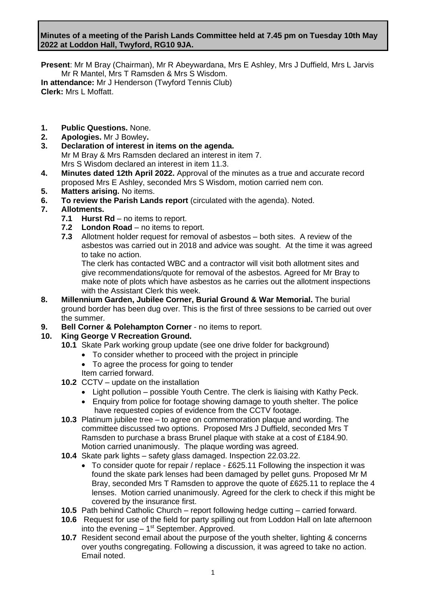# **Minutes of a meeting of the Parish Lands Committee held at 7.45 pm on Tuesday 10th May 2022 at Loddon Hall, Twyford, RG10 9JA.**

**Present**: Mr M Bray (Chairman), Mr R Abeywardana, Mrs E Ashley, Mrs J Duffield, Mrs L Jarvis Mr R Mantel, Mrs T Ramsden & Mrs S Wisdom. **In attendance:** Mr J Henderson (Twyford Tennis Club) **Clerk:** Mrs L Moffatt.

- **1. Public Questions.** None.
- **2. Apologies.** Mr J Bowley**.**
- **3. Declaration of interest in items on the agenda.** Mr M Bray & Mrs Ramsden declared an interest in item 7. Mrs S Wisdom declared an interest in item 11.3.
- **4. Minutes dated 12th April 2022.** Approval of the minutes as a true and accurate record proposed Mrs E Ashley, seconded Mrs S Wisdom, motion carried nem con.
- **5. Matters arising.** No items.
- **6. To review the Parish Lands report** (circulated with the agenda). Noted.

# **7. Allotments.**

- **7.1 Hurst Rd** no items to report.
- **7.2 London Road** no items to report.
- **7.3** Allotment holder request for removal of asbestos both sites. A review of the asbestos was carried out in 2018 and advice was sought. At the time it was agreed to take no action.

The clerk has contacted WBC and a contractor will visit both allotment sites and give recommendations/quote for removal of the asbestos. Agreed for Mr Bray to make note of plots which have asbestos as he carries out the allotment inspections with the Assistant Clerk this week.

- **8. Millennium Garden, Jubilee Corner, Burial Ground & War Memorial.** The burial ground border has been dug over. This is the first of three sessions to be carried out over the summer.
- **9. Bell Corner & Polehampton Corner** no items to report.

# **10. King George V Recreation Ground.**

- **10.1** Skate Park working group update (see one drive folder for background)
	- To consider whether to proceed with the project in principle
	- To agree the process for going to tender
	- Item carried forward.
- **10.2** CCTV update on the installation
	- Light pollution possible Youth Centre. The clerk is liaising with Kathy Peck.
	- Enquiry from police for footage showing damage to youth shelter. The police have requested copies of evidence from the CCTV footage.
- **10.3** Platinum jubilee tree to agree on commemoration plaque and wording. The committee discussed two options. Proposed Mrs J Duffield, seconded Mrs T Ramsden to purchase a brass Brunel plaque with stake at a cost of £184.90. Motion carried unanimously. The plaque wording was agreed.
- **10.4** Skate park lights safety glass damaged. Inspection 22.03.22.
	- To consider quote for repair / replace £625.11 Following the inspection it was found the skate park lenses had been damaged by pellet guns. Proposed Mr M Bray, seconded Mrs T Ramsden to approve the quote of £625.11 to replace the 4 lenses. Motion carried unanimously. Agreed for the clerk to check if this might be covered by the insurance first.
- **10.5** Path behind Catholic Church report following hedge cutting carried forward.
- **10.6** Request for use of the field for party spilling out from Loddon Hall on late afternoon into the evening  $-1<sup>st</sup>$  September. Approved.
- **10.7** Resident second email about the purpose of the youth shelter, lighting & concerns over youths congregating. Following a discussion, it was agreed to take no action. Email noted.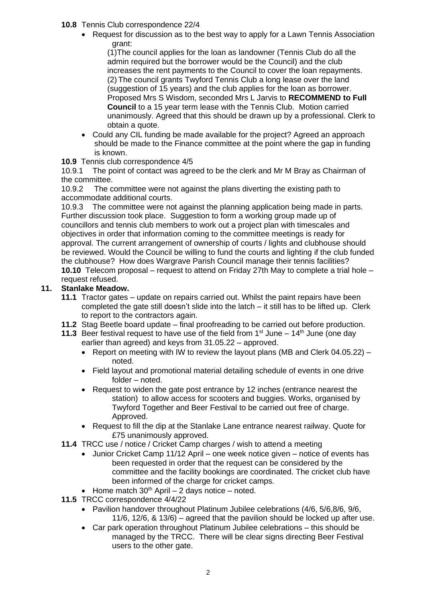- **10.8** Tennis Club correspondence 22/4
	- Request for discussion as to the best way to apply for a Lawn Tennis Association grant:

(1)The council applies for the loan as landowner (Tennis Club do all the admin required but the borrower would be the Council) and the club increases the rent payments to the Council to cover the loan repayments. (2) The council grants Twyford Tennis Club a long lease over the land (suggestion of 15 years) and the club applies for the loan as borrower. Proposed Mrs S Wisdom, seconded Mrs L Jarvis to **RECOMMEND to Full Council** to a 15 year term lease with the Tennis Club. Motion carried unanimously. Agreed that this should be drawn up by a professional. Clerk to obtain a quote.

• Could any CIL funding be made available for the project? Agreed an approach should be made to the Finance committee at the point where the gap in funding is known.

# **10.9** Tennis club correspondence 4/5

10.9.1 The point of contact was agreed to be the clerk and Mr M Bray as Chairman of the committee.

10.9.2 The committee were not against the plans diverting the existing path to accommodate additional courts.

10.9.3 The committee were not against the planning application being made in parts. Further discussion took place. Suggestion to form a working group made up of councillors and tennis club members to work out a project plan with timescales and objectives in order that information coming to the committee meetings is ready for approval. The current arrangement of ownership of courts / lights and clubhouse should be reviewed. Would the Council be willing to fund the courts and lighting if the club funded the clubhouse? How does Wargrave Parish Council manage their tennis facilities? **10.10** Telecom proposal – request to attend on Friday 27th May to complete a trial hole – request refused.

# **11. Stanlake Meadow.**

- **11.1** Tractor gates update on repairs carried out. Whilst the paint repairs have been completed the gate still doesn't slide into the latch – it still has to be lifted up. Clerk to report to the contractors again.
- **11.2** Stag Beetle board update final proofreading to be carried out before production.
- **11.3** Beer festival request to have use of the field from  $1^{st}$  June  $14^{th}$  June (one dav earlier than agreed) and keys from 31.05.22 – approved.
	- Report on meeting with IW to review the layout plans (MB and Clerk 04.05.22) noted.
	- Field layout and promotional material detailing schedule of events in one drive folder – noted.
	- Request to widen the gate post entrance by 12 inches (entrance nearest the station) to allow access for scooters and buggies. Works, organised by Twyford Together and Beer Festival to be carried out free of charge. Approved.
	- Request to fill the dip at the Stanlake Lane entrance nearest railway. Quote for £75 unanimously approved.
- **11.4** TRCC use / notice / Cricket Camp charges / wish to attend a meeting
	- Junior Cricket Camp 11/12 April one week notice given notice of events has been requested in order that the request can be considered by the committee and the facility bookings are coordinated. The cricket club have been informed of the charge for cricket camps.
	- Home match  $30<sup>th</sup>$  April 2 days notice noted.
- **11.5** TRCC correspondence 4/4/22
	- Pavilion handover throughout Platinum Jubilee celebrations (4/6, 5/6,8/6, 9/6, 11/6, 12/6, & 13/6) – agreed that the pavilion should be locked up after use.
	- Car park operation throughout Platinum Jubilee celebrations this should be managed by the TRCC. There will be clear signs directing Beer Festival users to the other gate.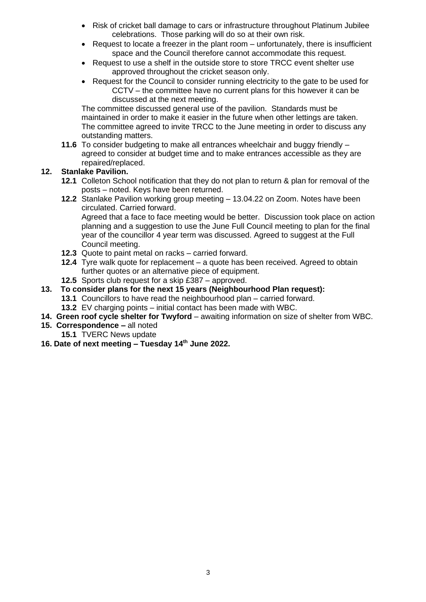- Risk of cricket ball damage to cars or infrastructure throughout Platinum Jubilee celebrations. Those parking will do so at their own risk.
- Request to locate a freezer in the plant room unfortunately, there is insufficient space and the Council therefore cannot accommodate this request.
- Request to use a shelf in the outside store to store TRCC event shelter use approved throughout the cricket season only.
- Request for the Council to consider running electricity to the gate to be used for CCTV – the committee have no current plans for this however it can be discussed at the next meeting.

The committee discussed general use of the pavilion. Standards must be maintained in order to make it easier in the future when other lettings are taken. The committee agreed to invite TRCC to the June meeting in order to discuss any outstanding matters.

**11.6** To consider budgeting to make all entrances wheelchair and buggy friendly – agreed to consider at budget time and to make entrances accessible as they are repaired/replaced.

# **12. Stanlake Pavilion.**

- **12.1** Colleton School notification that they do not plan to return & plan for removal of the posts – noted. Keys have been returned.
- **12.2** Stanlake Pavilion working group meeting 13.04.22 on Zoom. Notes have been circulated. Carried forward. Agreed that a face to face meeting would be better. Discussion took place on action planning and a suggestion to use the June Full Council meeting to plan for the final year of the councillor 4 year term was discussed. Agreed to suggest at the Full Council meeting.
- **12.3** Quote to paint metal on racks carried forward.
- **12.4** Tyre walk quote for replacement a quote has been received. Agreed to obtain further quotes or an alternative piece of equipment.
- **12.5** Sports club request for a skip £387 approved.
- **13. To consider plans for the next 15 years (Neighbourhood Plan request):** 
	- **13.1** Councillors to have read the neighbourhood plan carried forward.
	- **13.2** EV charging points initial contact has been made with WBC.
- **14. Green roof cycle shelter for Twyford** awaiting information on size of shelter from WBC.
- **15. Correspondence –** all noted
	- **15.1** TVERC News update
- **16. Date of next meeting – Tuesday 14 th June 2022.**